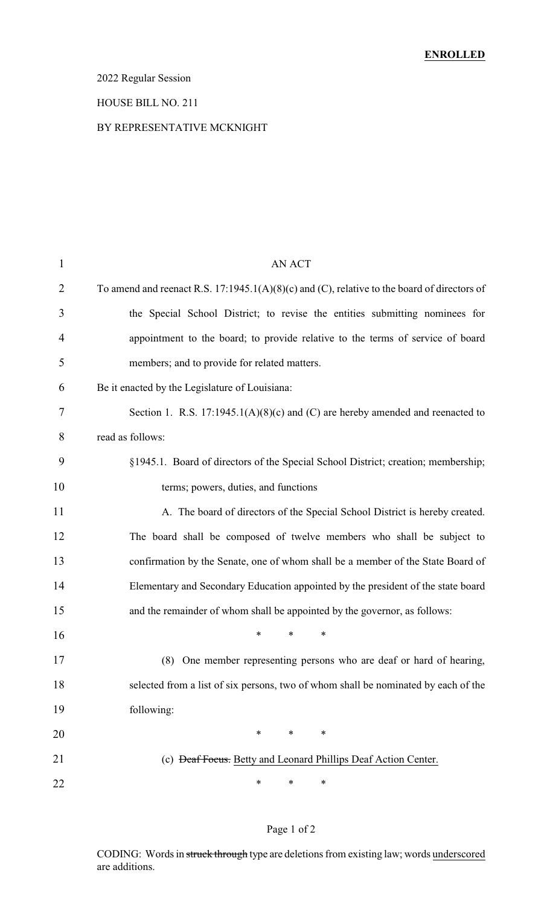### 2022 Regular Session

### HOUSE BILL NO. 211

### BY REPRESENTATIVE MCKNIGHT

| $\mathbf{1}$   | <b>AN ACT</b>                                                                               |
|----------------|---------------------------------------------------------------------------------------------|
| $\overline{2}$ | To amend and reenact R.S. 17:1945.1(A)(8)(c) and (C), relative to the board of directors of |
| 3              | the Special School District; to revise the entities submitting nominees for                 |
| 4              | appointment to the board; to provide relative to the terms of service of board              |
| 5              | members; and to provide for related matters.                                                |
| 6              | Be it enacted by the Legislature of Louisiana:                                              |
| 7              | Section 1. R.S. $17:1945.1(A)(8)(c)$ and (C) are hereby amended and reenacted to            |
| 8              | read as follows:                                                                            |
| 9              | §1945.1. Board of directors of the Special School District; creation; membership;           |
| 10             | terms; powers, duties, and functions                                                        |
| 11             | A. The board of directors of the Special School District is hereby created.                 |
| 12             | The board shall be composed of twelve members who shall be subject to                       |
| 13             | confirmation by the Senate, one of whom shall be a member of the State Board of             |
| 14             | Elementary and Secondary Education appointed by the president of the state board            |
| 15             | and the remainder of whom shall be appointed by the governor, as follows:                   |
| 16             | *<br>$\ast$<br>∗                                                                            |
| 17             | One member representing persons who are deaf or hard of hearing,<br>(8)                     |
| 18             | selected from a list of six persons, two of whom shall be nominated by each of the          |
| 19             | following:                                                                                  |
| 20             | $\ast$<br>$\ast$<br>∗                                                                       |
| 21             | (c) <del>Deaf Focus.</del> Betty and Leonard Phillips Deaf Action Center.                   |
| 22             | ∗<br>∗<br>∗                                                                                 |

### Page 1 of 2

CODING: Words in struck through type are deletions from existing law; words underscored are additions.